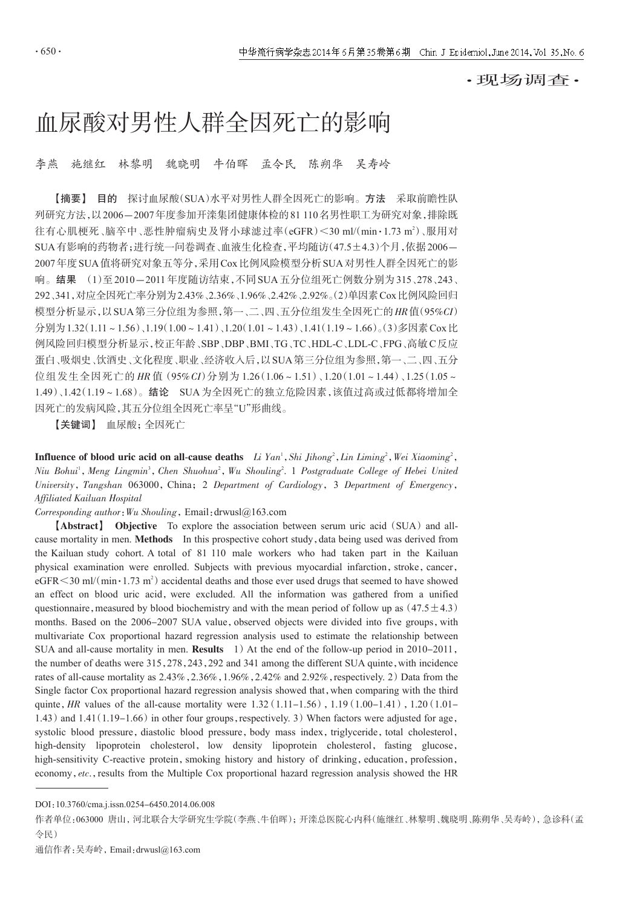·现场调查·

## 血尿酸对男性人群全因死亡的影响

李燕 施继红 林黎明 魏晓明 牛伯晖 孟令民 陈朔华 吴寿岭

【摘要】 目的 探讨血尿酸(SUA)水平对男性人群全因死亡的影响。方法 采取前瞻性队 列研究方法,以2006-2007年度参加开滦集团健康体检的81 110名男性职工为研究对象,排除既 往有心肌梗死、脑卒中、恶性肿瘤病史及肾小球滤过率( $\operatorname{eGFR}$ ) $<$ 30 ml/(min•1.73 m²)、服用对 SUA有影响的药物者;进行统一问卷调查、血液生化检查,平均随访(47.5±4.3)个月,依据2006- 2007年度SUA值将研究对象五等分,采用Cox比例风险模型分析SUA对男性人群全因死亡的影 响。结果 (1)至2010-2011年度随访结束,不同SUA五分位组死亡例数分别为315、278、243、 292、341,对应全因死亡率分别为2.43%、2.36%、1.96%、2.42%、2.92%。(2)单因素Cox比例风险回归 模型分析显示,以SUA第三分位组为参照,第一、二、四、五分位组发生全因死亡的 HR值(95%CI) 分别为1.32(1.11~1.56)、1.19(1.00~1.41)、1.20(1.01~1.43)、1.41(1.19~1.66)。(3)多因素Cox比 例风险回归模型分析显示,校正年龄、SBP、DBP、BMI、TG、TC、HDL-C、LDL-C、FPG、高敏C反应 蛋白、吸烟史、饮酒史、文化程度、职业、经济收入后,以SUA第三分位组为参照,第一、二、四、五分 位组发生全因死亡的 HR 值(95%CI)分别为 1.26(1.06~1.51)、1.20(1.01~1.44)、1.25(1.05~ 1.49)、1.42(1.19~1.68)。结论 SUA为全因死亡的独立危险因素,该值过高或过低都将增加全 因死亡的发病风险,其五分位组全因死亡率呈"U"形曲线。

【关键词】 血尿酸;全因死亡

**Influence of blood uric acid on all-cause deaths** Li  $Yan^1$ , Shi Jihong<sup>2</sup>, Lin Liming<sup>2</sup>, Wei Xiaoming<sup>2</sup>, Niu Bohui<sup>1</sup>, Meng Lingmin<sup>3</sup>, Chen Shuohua<sup>2</sup>, Wu Shouling<sup>2</sup>. 1 Postgraduate College of Hebei United University, Tangshan 063000, China; 2 Department of Cardiology, 3 Department of Emergency, Affiliated Kailuan Hospital

Corresponding author:Wu Shouling,Email:drwusl@163.com

【Abstract】 Objective To explore the association between serum uric acid(SUA)and allcause mortality in men. Methods In this prospective cohort study, data being used was derived from the Kailuan study cohort. A total of 81 110 male workers who had taken part in the Kailuan physical examination were enrolled. Subjects with previous myocardial infarction, stroke, cancer,  $\text{eGFR} \leq 30 \text{ ml/(min} \cdot 1.73 \text{ m}^2)$  accidental deaths and those ever used drugs that seemed to have showed an effect on blood uric acid, were excluded. All the information was gathered from a unified questionnaire, measured by blood biochemistry and with the mean period of follow up as  $(47.5 \pm 4.3)$ months. Based on the 2006-2007 SUA value, observed objects were divided into five groups, with multivariate Cox proportional hazard regression analysis used to estimate the relationship between SUA and all-cause mortality in men. **Results** 1) At the end of the follow-up period in 2010-2011, the number of deaths were 315,278,243,292 and 341 among the different SUA quinte, with incidence rates of all-cause mortality as  $2.43\%$ ,  $2.36\%$ ,  $1.96\%$ ,  $2.42\%$  and  $2.92\%$ , respectively. 2) Data from the Single factor Cox proportional hazard regression analysis showed that, when comparing with the third quinte, HR values of the all-cause mortality were  $1.32(1.11-1.56)$ ,  $1.19(1.00-1.41)$ ,  $1.20(1.01-1.41)$ 1.43) and  $1.41(1.19-1.66)$  in other four groups, respectively. 3) When factors were adjusted for age, systolic blood pressure, diastolic blood pressure, body mass index, triglyceride, total cholesterol, high-density lipoprotein cholesterol, low density lipoprotein cholesterol, fasting glucose, high-sensitivity C-reactive protein, smoking history and history of drinking, education, profession, economy, etc., results from the Multiple Cox proportional hazard regression analysis showed the HR

DOI:10.3760/cma.j.issn.0254-6450.2014.06.008

作者单位:063000 唐山,河北联合大学研究生学院(李燕、牛伯晖);开滦总医院心内科(施继红、林黎明、魏晓明、陈朔华、吴寿岭),急诊科(孟 令民)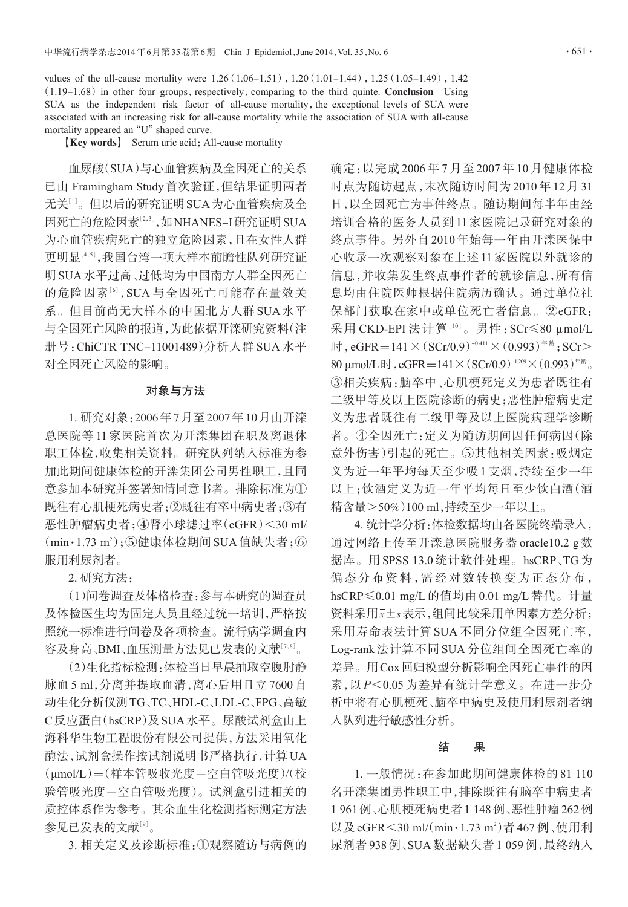values of the all-cause mortality were  $1.26(1.06-1.51)$ ,  $1.20(1.01-1.44)$ ,  $1.25(1.05-1.49)$ ,  $1.42$  $(1.19-1.68)$  in other four groups, respectively, comparing to the third quinte. Conclusion Using SUA as the independent risk factor of all-cause mortality, the exceptional levels of SUA were associated with an increasing risk for all-cause mortality while the association of SUA with all-cause mortality appeared an "U" shaped curve.

【Key words】 Serum uric acid;All-cause mortality

血尿酸(SUA)与心血管疾病及全因死亡的关系 已由 Framingham Study首次验证,但结果证明两者 无关<sup>[1]</sup>。但以后的研究证明 SUA 为心血管疾病及全 因死亡的危险因素<sup>[2,3]</sup>,如NHANES–I研究证明 SUA 为心血管疾病死亡的独立危险因素,且在女性人群 更明显[<sup>4</sup>,5] ,我国台湾一项大样本前瞻性队列研究证 明SUA水平过高、过低均为中国南方人群全因死亡 的危险因素<sup>[6]</sup>, SUA 与全因死亡可能存在量效关 系。但目前尚无大样本的中国北方人群 SUA 水平 与全因死亡风险的报道,为此依据开滦研究资料(注 册号:ChiCTR TNC-11001489)分析人群 SUA 水平 对全因死亡风险的影响。

## 对象与方法

1. 研究对象:2006年7月至2007年10月由开滦 总医院等 11 家医院首次为开滦集团在职及离退休 职工体检,收集相关资料。研究队列纳入标准为参 加此期间健康体检的开滦集团公司男性职工,且同 意参加本研究并签署知情同意书者。排除标准为① 既往有心肌梗死病史者;②既往有卒中病史者;③有 恶性肿瘤病史者;④肾小球滤过率(eGFR)<30 ml/  $(\min \cdot 1.73 \text{ m}^2)$ ; 5健康体检期间 SUA 值缺失者; 6 服用利尿剂者。

2. 研究方法:

(1)问卷调查及体格检查:参与本研究的调查员 及体检医生均为固定人员且经过统一培训,严格按 照统一标准进行问卷及各项检查。流行病学调查内 容及身高 、BMI 、血压测量方法见已发表的文献<sup>[7,8]</sup>。

(2)生化指标检测:体检当日早晨抽取空腹肘静 脉血 5 ml,分离并提取血清,离心后用日立 7600 自 动生化分析仪测TG、TC、HDL-C、LDL-C、FPG、高敏 C反应蛋白(hsCRP)及SUA水平。尿酸试剂盒由上 海科华生物工程股份有限公司提供,方法采用氧化 酶法,试剂盒操作按试剂说明书严格执行,计算UA (μmol/L)=(样本管吸收光度-空白管吸光度)(/ 校 验管吸光度-空白管吸光度)。试剂盒引进相关的 质控体系作为参考。其余血生化检测指标测定方法 参见已发表的文献[<sup>9</sup>] 。

3. 相关定义及诊断标准:①观察随访与病例的

确定:以完成 2006 年 7 月至 2007 年 10 月健康体检 时点为随访起点,末次随访时间为 2010 年 12 月 31 日,以全因死亡为事件终点。随访期间每半年由经 培训合格的医务人员到 11 家医院记录研究对象的 终点事件。另外自 2010 年始每一年由开滦医保中 心收录一次观察对象在上述 11 家医院以外就诊的 信息,并收集发生终点事件者的就诊信息,所有信 息均由住院医师根据住院病历确认。通过单位社 保部门获取在家中或单位死亡者信息。②eGFR: 采用 CKD-EPI 法计算[<sup>10</sup>]。男性:SCr≤80 μmol/L 时,eGFR=141×(SCr/0.9)<sup>-0.411</sup>×(0.993)<sup>年齡</sup>;SCr> 80 μmol/L 时, eGFR=141×(SCr/0.9)<sup>-1.209</sup>×(0.993)<sup>年龄</sup>。 ③相关疾病:脑卒中、心肌梗死定义为患者既往有 二级甲等及以上医院诊断的病史;恶性肿瘤病史定 义为患者既往有二级甲等及以上医院病理学诊断 者。④全因死亡:定义为随访期间因任何病因(除 意外伤害)引起的死亡。⑤其他相关因素:吸烟定 义为近一年平均每天至少吸1支烟,持续至少一年 以上;饮酒定义为近一年平均每日至少饮白酒(酒 精含量>50%)100 ml,持续至少一年以上。

4. 统计学分析:体检数据均由各医院终端录入, 通过网络上传至开滦总医院服务器 oracle10.2 g 数 据库。用 SPSS 13.0 统计软件处理。hsCRP、TG 为 偏态分布资料,需经对数转换变为正态分布, hsCRP≤0.01 mg/L 的值均由 0.01 mg/L 替代。计量 资料采用x±s表示,组间比较采用单因素方差分析; 采用寿命表法计算 SUA 不同分位组全因死亡率, Log-rank 法计算不同 SUA 分位组间全因死亡率的 差异。用Cox回归模型分析影响全因死亡事件的因 素, 以 P<0.05 为差异有统计学意义。在进一步分 析中将有心肌梗死、脑卒中病史及使用利尿剂者纳 入队列进行敏感性分析。

## 结 果

1. 一般情况:在参加此期间健康体检的 81 110 名开滦集团男性职工中,排除既往有脑卒中病史者 1 961例、心肌梗死病史者1 148例、恶性肿瘤262例 以及 eGFR<30 ml/(min · 1.73 m<sup>2</sup>)者 467 例、使用利 尿剂者938例、SUA数据缺失者1 059例,最终纳入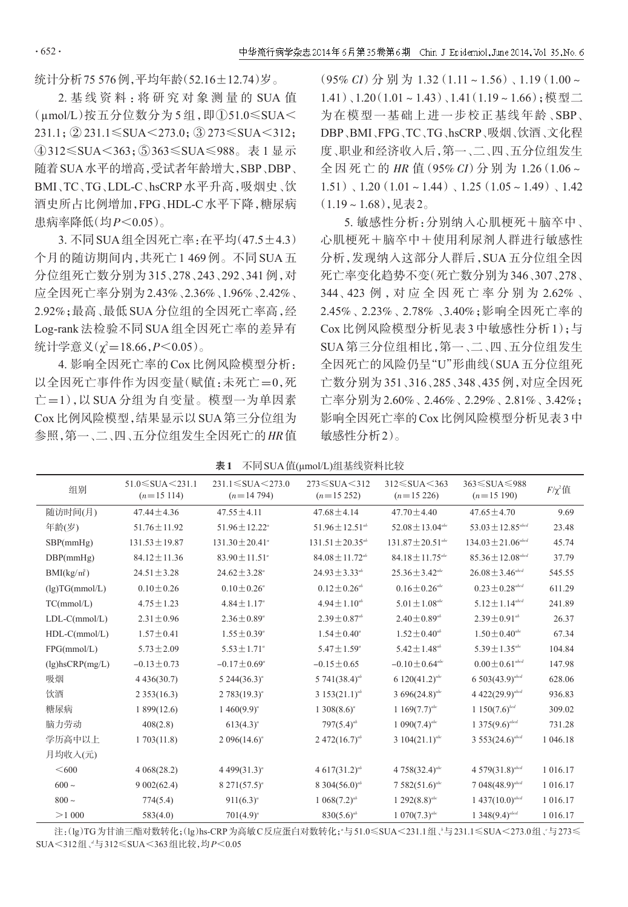$.652.$ 

统计分析75 576例,平均年龄(52.16±12.74)岁。

2. 基 线 资 料 :将 研 究 对 象 测 量 的 SUA 值 (μmol/L)按五分位数分为 5 组,即①51.0≤SUA< 231.1;② 231.1≤SUA<273.0;③ 273≤SUA<312; ④312≤SUA<363;⑤363≤SUA≤988。表 1 显示 随着SUA水平的增高,受试者年龄增大,SBP、DBP、 BMI、TC、TG、LDL-C、hsCRP 水平升高,吸烟史、饮 酒史所占比例增加,FPG、HDL-C水平下降,糖尿病 患病率降低(均P<0.05)。

3. 不同SUA组全因死亡率:在平均(47.5±4.3) 个月的随访期间内,共死亡 1 469 例。不同 SUA 五 分位组死亡数分别为 315、278、243、292、341 例,对 应全因死亡率分别为2.43%、2.36%、1.96%、2.42%、 2.92%;最高、最低SUA分位组的全因死亡率高,经 Log-rank 法检验不同 SUA 组全因死亡率的差异有 统计学意义(χ²=18.66, $P$ <0.05)。

4. 影响全因死亡率的Cox比例风险模型分析: 以全因死亡事件作为因变量(赋值:未死亡=0,死 亡=1),以 SUA 分组为自变量。模型一为单因素 Cox比例风险模型,结果显示以SUA第三分位组为 参照,第一、二、四、五分位组发生全因死亡的HR值  $(95\% CI)$   $\oplus$   $\frac{1}{2}$   $\oplus$   $1.32(1.11 \times 1.56)$ ,  $1.19(1.00 \times$ 1.41)、1.20(1.01~1.43)、1.41(1.19~1.66);模型二 为在模型一基础上进一步校正基线年龄、SBP、 DBP、BMI、FPG、TC、TG、hsCRP、吸烟、饮酒、文化程 度、职业和经济收入后,第一、二、四、五分位组发生 全 因 死 亡 的 HR 值(95% CI)分 别 为 1.26(1.06~  $1.51)$ ,  $1.20(1.01 \times 1.44)$ ,  $1.25(1.05 \times 1.49)$ ,  $1.42$  $(1.19-1.68)$ ,见表2。

5. 敏感性分析:分别纳入心肌梗死+脑卒中、 心肌梗死+脑卒中+使用利尿剂人群进行敏感性 分析,发现纳入这部分人群后,SUA 五分位组全因 死亡率变化趋势不变(死亡数分别为346、307、278、 344、423 例 ,对 应 全 因 死 亡 率 分 别 为 2.62% 、 2.45%、2.23%、2.78% 、3.40%;影响全因死亡率的 Cox 比例风险模型分析见表 3 中敏感性分析 1);与 SUA 第三分位组相比,第一、二、四、五分位组发生 全因死亡的风险仍呈"U"形曲线(SUA五分位组死 亡数分别为 351、316、285、348、435 例,对应全因死 亡率分别为2.60%、2.46%、2.29%、2.81%、3.42%; 影响全因死亡率的Cox比例风险模型分析见表3中 敏感性分析2)。

| 表 1 |  |  | 不同 SUA 值(μmol/L)组基线资料比较 |  |  |  |  |
|-----|--|--|-------------------------|--|--|--|--|
|-----|--|--|-------------------------|--|--|--|--|

| 组别                    | $51.0 \leq SUA \leq 231.1$<br>$(n=15114)$ | $231.1 \leq SUA \leq 273.0$<br>$(n=14794)$ | $273 \leqslant \text{SUA} \leqslant 312$<br>$(n=15 252)$ | $312 \leqslant \text{SUA} \leqslant 363$<br>$(n=15\,226)$ | $363 \leq$ SUA $\leq$ 988<br>$(n=15190)$ | $F/\chi^2$ 值 |
|-----------------------|-------------------------------------------|--------------------------------------------|----------------------------------------------------------|-----------------------------------------------------------|------------------------------------------|--------------|
| 随访时间(月)               | $47.44 \pm 4.36$                          | $47.55 \pm 4.11$                           | $47.68 \pm 4.14$                                         | $47.70 \pm 4.40$                                          | $47.65 \pm 4.70$                         | 9.69         |
| 年龄(岁)                 | $51.76 \pm 11.92$                         | $51.96 \pm 12.22^{\circ}$                  | $51.96 \pm 12.51^{ab}$                                   | $52.08 \pm 13.04^{abc}$                                   | $53.03 \pm 12.85^{abcd}$                 | 23.48        |
| SBP(mmHg)             | $131.53 \pm 19.87$                        | $131.30 \pm 20.41^{\circ}$                 | $131.51 \pm 20.35$ <sup>ab</sup>                         | $131.87 \pm 20.51$ <sup>abc</sup>                         | $134.03 \pm 21.06^{abcd}$                | 45.74        |
| DBP(mmHg)             | $84.12 \pm 11.36$                         | $83.90 \pm 11.51^{\circ}$                  | $84.08 \pm 11.72^{ab}$                                   | $84.18 \pm 11.75$ <sup>abc</sup>                          | $85.36 \pm 12.08^{abcd}$                 | 37.79        |
| $BMI(kg/m^2)$         | $24.51 \pm 3.28$                          | $24.62 \pm 3.28$ <sup>a</sup>              | $24.93 \pm 3.33^{ab}$                                    | $25.36 \pm 3.42^{abc}$                                    | $26.08 \pm 3.46^{abcd}$                  | 545.55       |
| (lg)TG(mmol/L)        | $0.10 \pm 0.26$                           | $0.10 \pm 0.26^{\circ}$                    | $0.12 \pm 0.26^{ab}$                                     | $0.16 \pm 0.26$ <sup>abc</sup>                            | $0.23\pm0.28^{\textit{abcd}}$            | 611.29       |
| TC(mmol/L)            | $4.75 \pm 1.23$                           | $4.84 \pm 1.17^{\circ}$                    | $4.94 \pm 1.10^{ab}$                                     | $5.01 \pm 1.08^{abc}$                                     | $5.12 \pm 1.14^{abcd}$                   | 241.89       |
| $LDL-C(mmol/L)$       | $2.31 \pm 0.96$                           | $2.36 \pm 0.89^{\circ}$                    | $2.39 \pm 0.87$ <sup>ab</sup>                            | $2.40 \pm 0.89^{ab}$                                      | $2.39 \pm 0.91^{ab}$                     | 26.37        |
| $HDL-C(mmol/L)$       | $1.57 \pm 0.41$                           | $1.55 \pm 0.39^{\circ}$                    | $1.54 \pm 0.40^{\circ}$                                  | $1.52 \pm 0.40^{ab}$                                      | $1.50 \pm 0.40^{abc}$                    | 67.34        |
| FPG(mmol/L)           | $5.73 \pm 2.09$                           | $5.53 \pm 1.71^{\circ}$                    | $5.47 \pm 1.59^{\circ}$                                  | $5.42 \pm 1.48^{ab}$                                      | $5.39 \pm 1.35^{abc}$                    | 104.84       |
| $(lg)$ hsCRP $(mg/L)$ | $-0.13 \pm 0.73$                          | $-0.17 \pm 0.69^{\circ}$                   | $-0.15 \pm 0.65$                                         | $-0.10 \pm 0.64^{abc}$                                    | $0.00 \pm 0.61^{abcd}$                   | 147.98       |
| 吸烟                    | 4436(30.7)                                | $5\,244(36.3)^{a}$                         | 5 741 $(38.4)^{ab}$                                      | 6 $120(41.2)^{abc}$                                       | $6503(43.9)^{abcd}$                      | 628.06       |
| 饮酒                    | 2353(16.3)                                | $2783(19.3)^{a}$                           | 3 153 $(21.1)^{ab}$                                      | 3 696(24.8) <sup>abc</sup>                                | 4 422(29.9) <sup>abcd</sup>              | 936.83       |
| 糖尿病                   | 1899(12.6)                                | $1\,460(9.9)^a$                            | $1308(8.6)^a$                                            | 1 169 $(7.7)^{abc}$                                       | $1\,150(7.6)^{bcd}$                      | 309.02       |
| 脑力劳动                  | 408(2.8)                                  | $613(4.3)^{a}$                             | $797(5.4)^{ab}$                                          | 1 090 $(7.4)^{abc}$                                       | $1375(9.6)^{abcd}$                       | 731.28       |
| 学历高中以上                | 1703(11.8)                                | 2 096 $(14.6)^a$                           | $2.472(16.7)^{ab}$                                       | 3 104 $(21.1)^{abc}$                                      | $3553(24.6)^{abcd}$                      | 1 046.18     |
| 月均收入(元)               |                                           |                                            |                                                          |                                                           |                                          |              |
| < 600                 | 4068(28.2)                                | 4 499 $(31.3)^{a}$                         | $4.617(31.2)^{ab}$                                       | 4 758 $(32.4)^{abc}$                                      | $4.579(31.8)^{abcd}$                     | 1 016.17     |
| $600 \sim$            | 9002(62.4)                                | $8\ 271(57.5)^{a}$                         | 8 304(56.0) <sup>ab</sup>                                | $7582(51.6)^{abc}$                                        | $7.048(48.9)^{abcd}$                     | 1 016.17     |
| $800 -$               | 774(5.4)                                  | $911(6.3)^a$                               | $1.068(7.2)^{ab}$                                        | $1292(8.8)^{abc}$                                         | $1437(10.0)^{abcd}$                      | 1 016.17     |
| >1000                 | 583(4.0)                                  | $701(4.9)^a$                               | $830(5.6)^{ab}$                                          | $1.070(7.3)^{abc}$                                        | $1\,348(9.4)^{abcd}$                     | 1 016.17     |

注:(lg)TG为甘油三酯对数转化;(lg)hs-CRP为高敏C反应蛋白对数转化;"与51.0≤SUA<231.1组、\*与231.1≤SUA<273.0组、\*与273≤ SUA<312组、"与312≤SUA<363组比较,均P<0.05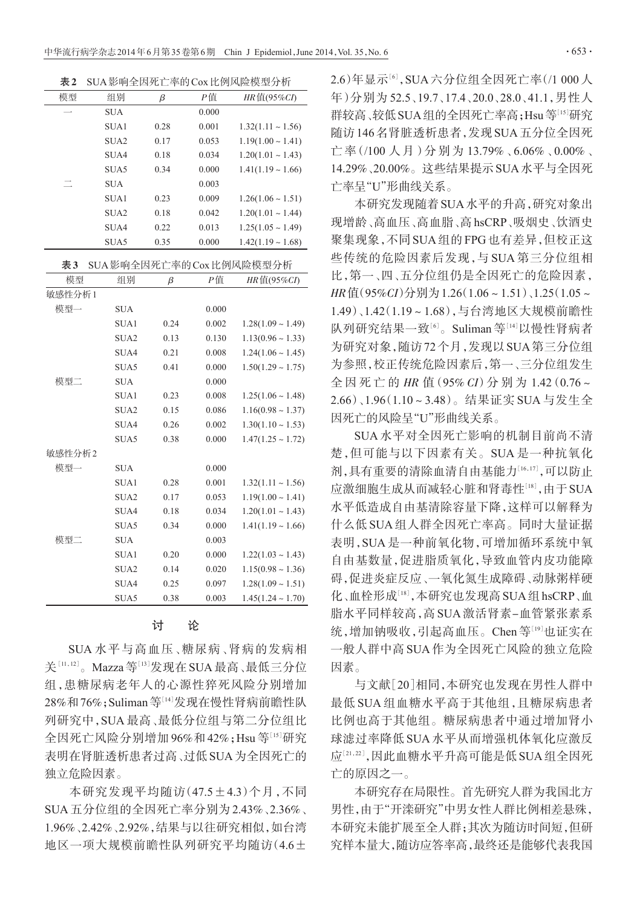表2 SUA影响全因死亡率的Cox比例风险模型分析

| 模型 | 组别               | β    | Р值    | HR值(95%CI)             |
|----|------------------|------|-------|------------------------|
|    | <b>SUA</b>       |      | 0.000 |                        |
|    | SUA1             | 0.28 | 0.001 | $1.32(1.11 \sim 1.56)$ |
|    | SUA <sub>2</sub> | 0.17 | 0.053 | $1.19(1.00 \sim 1.41)$ |
|    | SUA4             | 0.18 | 0.034 | $1.20(1.01 \sim 1.43)$ |
|    | SUA5             | 0.34 | 0.000 | $1.41(1.19 \sim 1.66)$ |
|    | <b>SUA</b>       |      | 0.003 |                        |
|    | SUA1             | 0.23 | 0.009 | $1.26(1.06 \sim 1.51)$ |
|    | SUA <sub>2</sub> | 0.18 | 0.042 | $1.20(1.01 \sim 1.44)$ |
|    | SUA4             | 0.22 | 0.013 | $1.25(1.05 \sim 1.49)$ |
|    | SUA5             | 0.35 | 0.000 | $1.42(1.19 \sim 1.68)$ |

| 表3 SUA影响全因死亡率的 Cox 比例风险模型分析 |  |
|-----------------------------|--|
|-----------------------------|--|

| 模型     | 组别               | β    | Р值    | HR $(E(95\%CI)$        |
|--------|------------------|------|-------|------------------------|
| 敏感性分析1 |                  |      |       |                        |
| 模型一    | <b>SUA</b>       |      | 0.000 |                        |
|        | SUA1             | 0.24 | 0.002 | $1.28(1.09 \sim 1.49)$ |
|        | SUA <sub>2</sub> | 0.13 | 0.130 | $1.13(0.96 \sim 1.33)$ |
|        | SUA4             | 0.21 | 0.008 | $1.24(1.06 \sim 1.45)$ |
|        | SUA5             | 0.41 | 0.000 | $1.50(1.29 \sim 1.75)$ |
| 模型二    | <b>SUA</b>       |      | 0.000 |                        |
|        | SUA1             | 0.23 | 0.008 | $1.25(1.06 \sim 1.48)$ |
|        | SUA <sub>2</sub> | 0.15 | 0.086 | $1.16(0.98 \sim 1.37)$ |
|        | SUA4             | 0.26 | 0.002 | $1.30(1.10 \sim 1.53)$ |
|        | SUA5             | 0.38 | 0.000 | $1.47(1.25 \sim 1.72)$ |
| 敏感性分析2 |                  |      |       |                        |
| 模型一    | <b>SUA</b>       |      | 0.000 |                        |
|        | SUA1             | 0.28 | 0.001 | $1.32(1.11 \sim 1.56)$ |
|        | SUA <sub>2</sub> | 0.17 | 0.053 | $1.19(1.00 \sim 1.41)$ |
|        | SUA4             | 0.18 | 0.034 | $1.20(1.01 \sim 1.43)$ |
|        | SUA5             | 0.34 | 0.000 | $1.41(1.19 \sim 1.66)$ |
| 模型二    | <b>SUA</b>       |      | 0.003 |                        |
|        | SUA1             | 0.20 | 0.000 | $1.22(1.03 \sim 1.43)$ |
|        | SUA <sub>2</sub> | 0.14 | 0.020 | $1.15(0.98 \sim 1.36)$ |
|        | SUA4             | 0.25 | 0.097 | $1.28(1.09 \sim 1.51)$ |
|        | SUA5             | 0.38 | 0.003 | $1.45(1.24 \sim 1.70)$ |

讨 论

SUA 水平与高血压、糖尿病、肾病的发病相 关[11,12]。Mazza等[13]发现在 SUA 最高 、最低三分位 组,患糖尿病老年人的心源性猝死风险分别增加 28%和76%;Suliman等[14]发现在慢性肾病前瞻性队 列研究中,SUA 最高、最低分位组与第二分位组比 全因死亡风险分别增加 96%和42%;Hsu等[15]研究 表明在肾脏透析患者过高、过低SUA为全因死亡的 独立危险因素。

本研究发现平均随访(47.5±4.3)个月,不同 SUA五分位组的全因死亡率分别为2.43%、2.36%、 1.96%、2.42%、2.92%,结果与以往研究相似,如台湾 地区一项大规模前瞻性队列研究平均随访(4.6± 2.6)年显示[6],SUA六分位组全因死亡率(/1 000人 年)分别为 52.5、19.7、17.4、20.0、28.0、41.1,男性人 群较高、较低 SUA 组的全因死亡率高;Hsu等<sup>[15]</sup>研究 随访146名肾脏透析患者,发现SUA五分位全因死 亡率(/100 人月)分别为 13.79%、6.06%、0.00%、 14.29%、20.00%。这些结果提示SUA水平与全因死 亡率呈"U"形曲线关系。

本研究发现随着SUA水平的升高,研究对象出 现增龄、高血压、高血脂、高hsCRP、吸烟史、饮酒史 聚集现象,不同SUA组的FPG也有差异,但校正这 些传统的危险因素后发现,与 SUA 第三分位组相 比,第一、四、五分位组仍是全因死亡的危险因素, HR值(95%CI)分别为1.26(1.06~1.51)、1.25(1.05~ 1.49)、1.42(1.19~1.68),与台湾地区大规模前瞻性 队列研究结果一致'<sup>6」</sup>。Suliman 等''<sup>4]</sup>以慢性肾病者 为研究对象,随访72个月,发现以SUA第三分位组 为参照,校正传统危险因素后,第一、三分位组发生 全 因 死 亡 的 HR 值(95% CI)分 别 为 1.42(0.76~ 2.66)、1.96(1.10~3.48)。结果证实 SUA 与发生全 因死亡的风险呈"U"形曲线关系。

SUA 水平对全因死亡影响的机制目前尚不清 楚,但可能与以下因素有关。SUA 是一种抗氧化 剂,具有重要的清除血清自由基能力[16,17],可以防止 应激细胞生成从而减轻心脏和肾毒性<sup>[18]</sup>,由于SUA 水平低造成自由基清除容量下降,这样可以解释为 什么低 SUA 组人群全因死亡率高。同时大量证据 表明,SUA 是一种前氧化物,可增加循环系统中氧 自由基数量,促进脂质氧化,导致血管内皮功能障 碍,促进炎症反应、一氧化氮生成障碍、动脉粥样硬 化、血栓形成<sup>[18]</sup>,本研究也发现高 SUA 组 hsCRP、血 脂水平同样较高,高SUA激活肾素-血管紧张素系 统,增加钠吸收,引起高血压。Chen等[19]也证实在 一般人群中高 SUA 作为全因死亡风险的独立危险 因素。

与文献[20]相同,本研究也发现在男性人群中 最低 SUA 组血糖水平高于其他组,且糖尿病患者 比例也高于其他组。糖尿病患者中通过增加肾小 球滤过率降低 SUA 水平从而增强机体氧化应激反 应[<sup>21</sup>,22] ,因此血糖水平升高可能是低SUA组全因死 亡的原因之一。

本研究存在局限性。首先研究人群为我国北方 男性,由于"开滦研究"中男女性人群比例相差悬殊, 本研究未能扩展至全人群;其次为随访时间短,但研 究样本量大,随访应答率高,最终还是能够代表我国